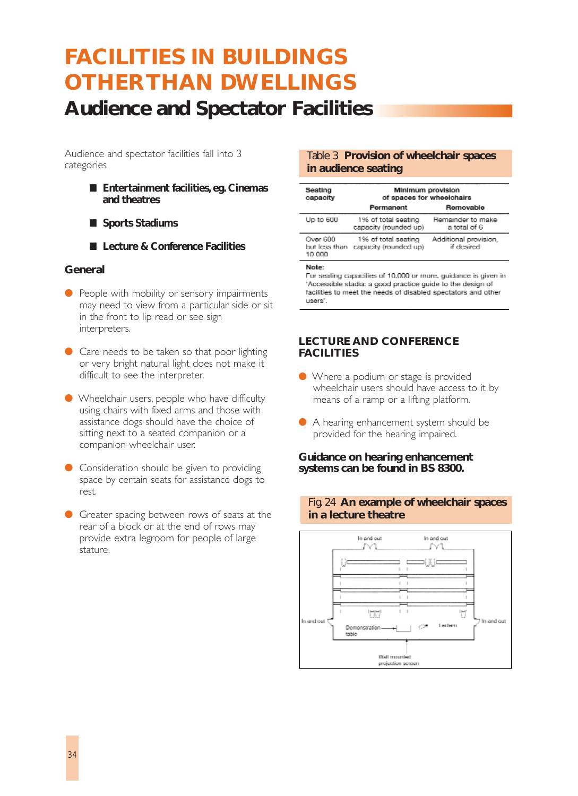# **Audience and Spectator Facilities FACILITIES IN BUILDINGS OTHER THAN DWELLINGS**

Audience and spectator facilities fall into 3 categories

- **Entertainment facilities**, eg. Cinemas **and theatres**
- **Sports Stadiums**
- Lecture & Conference Facilities

#### **General**

- People with mobility or sensory impairments may need to view from a particular side or sit in the front to lip read or see sign interpreters.
- Care needs to be taken so that poor lighting or very bright natural light does not make it difficult to see the interpreter.
- Wheelchair users, people who have difficulty using chairs with fixed arms and those with assistance dogs should have the choice of sitting next to a seated companion or a companion wheelchair user.
- Consideration should be given to providing space by certain seats for assistance dogs to rest.
- Greater spacing between rows of seats at the rear of a block or at the end of rows may provide extra legroom for people of large stature.

#### Table 3 **Provision of wheelchair spaces in audience seating**

| Seating<br>capacity                 | Minimum provision<br>of spaces for wheelchairs |                                     |
|-------------------------------------|------------------------------------------------|-------------------------------------|
|                                     | Permanent                                      | Removable                           |
| Up to 600                           | 1% of total seating<br>capacity (rounded up)   | Remainder to make<br>a total of 6   |
| Over 600<br>but less than<br>10 000 | 1% of total seating<br>capacity (rounded up)   | Additional provision,<br>if desired |
| Note:                               |                                                |                                     |

For sealing capacities of 10,000 or more, guidance is given in 'Accessible sladia: a good practice guide to the design of facilities to meet the needs of disabled spectators and other users".

#### **LECTURE AND CONFERENCE FACILITIES**

- Where a podium or stage is provided wheelchair users should have access to it by means of a ramp or a lifting platform.
- A hearing enhancement system should be provided for the hearing impaired.

**Guidance on hearing enhancement systems can be found in BS 8300.**



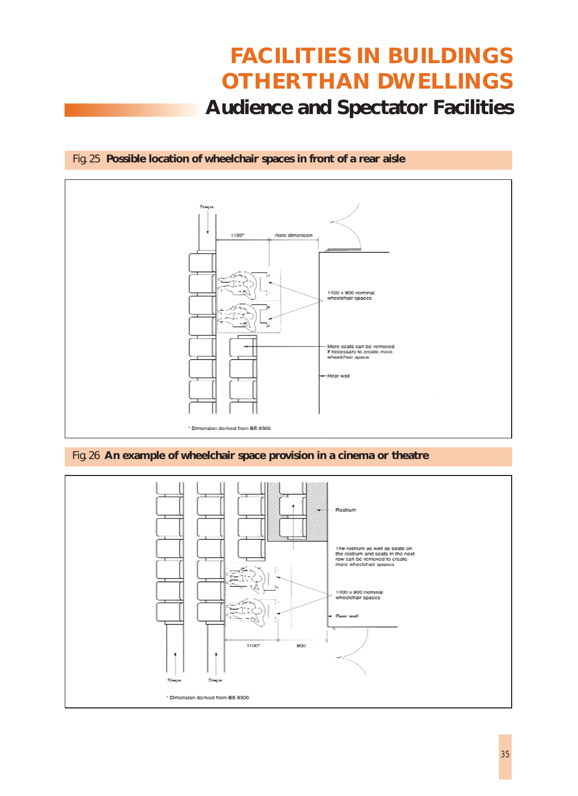# **Audience and Spectator Facilities FACILITIES IN BUILDINGS OTHER THAN DWELLINGS**

### Fig. 25 **Possible location of wheelchair spaces in front of a rear aisle**



#### Fig. 26 **An example of wheelchair space provision in a cinema or theatre**

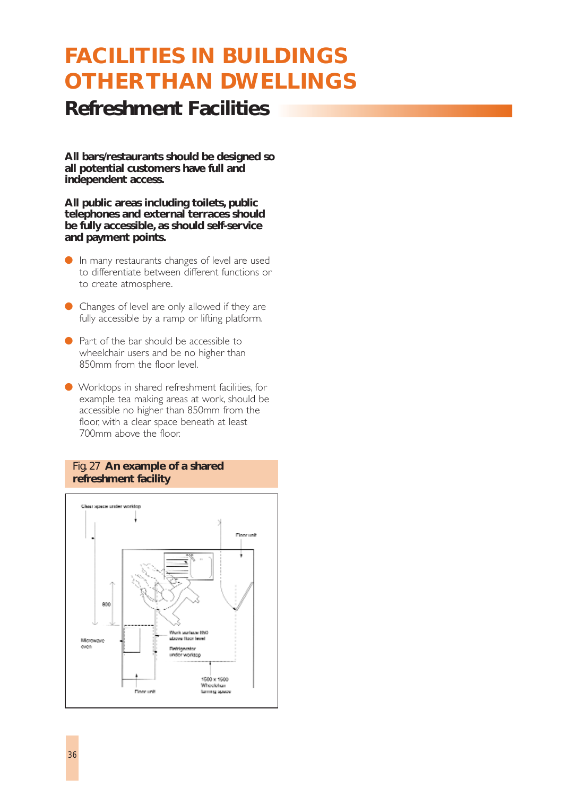### **Refreshment Facilities**

**All bars/restaurants should be designed so all potential customers have full and independent access.**

**All public areas including toilets, public telephones and external terraces should be fully accessible, as should self-service and payment points.**

- In many restaurants changes of level are used to differentiate between different functions or to create atmosphere.
- Changes of level are only allowed if they are fully accessible by a ramp or lifting platform.
- Part of the bar should be accessible to wheelchair users and be no higher than 850mm from the floor level.
- Worktops in shared refreshment facilities, for example tea making areas at work, should be accessible no higher than 850mm from the floor, with a clear space beneath at least 700mm above the floor.

### Fig. 27 **An example of a shared refreshment facility**

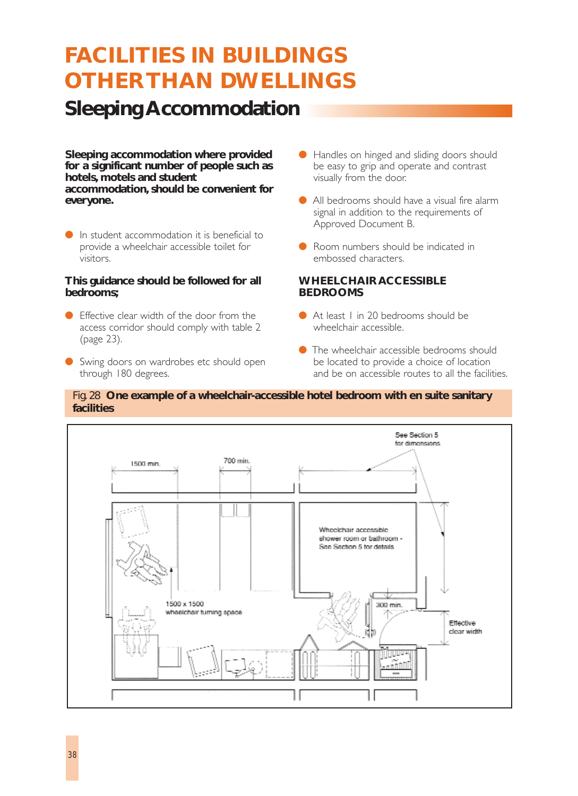## **Sleeping Accommodation**

**Sleeping accommodation where provided for a significant number of people such as hotels, motels and student accommodation, should be convenient for everyone.**

● In student accommodation it is beneficial to provide a wheelchair accessible toilet for visitors.

#### **This guidance should be followed for all bedrooms;**

- Effective clear width of the door from the access corridor should comply with table 2 (page 23).
- Swing doors on wardrobes etc should open through 180 degrees.
- Handles on hinged and sliding doors should be easy to grip and operate and contrast visually from the door.
- All bedrooms should have a visual fire alarm signal in addition to the requirements of Approved Document B.
- Room numbers should be indicated in embossed characters.

#### **WHEELCHAIR ACCESSIBLE BEDROOMS**

- At least 1 in 20 bedrooms should be wheelchair accessible.
- $\bullet$  The wheelchair accessible bedrooms should be located to provide a choice of location and be on accessible routes to all the facilities.

#### Fig. 28 **One example of a wheelchair-accessible hotel bedroom with en suite sanitary facilities**

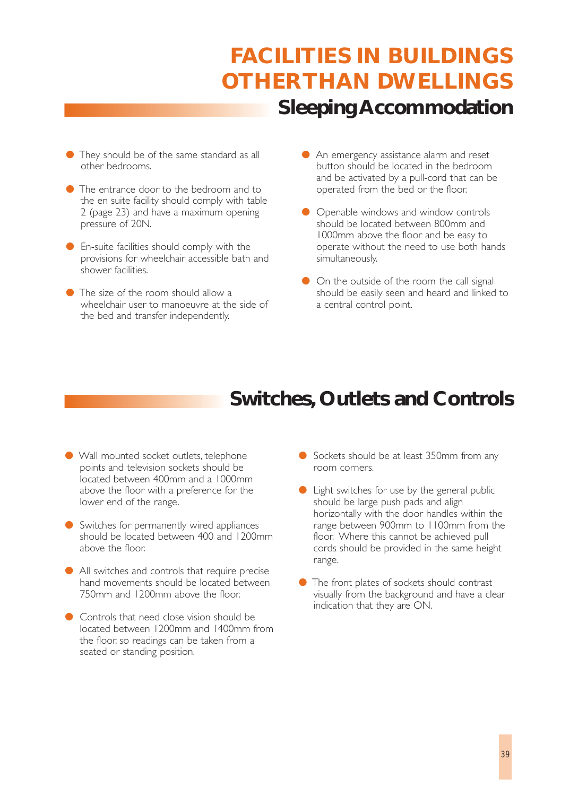## **Sleeping Accommodation FACILITIES IN BUILDINGS OTHER THAN DWELLINGS**

- They should be of the same standard as all other bedrooms.
- The entrance door to the bedroom and to the en suite facility should comply with table 2 (page 23) and have a maximum opening pressure of 20N.
- En-suite facilities should comply with the provisions for wheelchair accessible bath and shower facilities.
- The size of the room should allow a wheelchair user to manoeuvre at the side of the bed and transfer independently.
- An emergency assistance alarm and reset button should be located in the bedroom and be activated by a pull-cord that can be operated from the bed or the floor.
- Openable windows and window controls should be located between 800mm and 1000mm above the floor and be easy to operate without the need to use both hands simultaneously.
- On the outside of the room the call signal should be easily seen and heard and linked to a central control point.

### **Switches, Outlets and Controls**

- Wall mounted socket outlets, telephone points and television sockets should be located between 400mm and a 1000mm above the floor with a preference for the lower end of the range.
- Switches for permanently wired appliances should be located between 400 and 1200mm above the floor.
- All switches and controls that require precise hand movements should be located between 750mm and 1200mm above the floor.
- Controls that need close vision should be located between 1200mm and 1400mm from the floor, so readings can be taken from a seated or standing position.
- Sockets should be at least 350mm from any room corners.
- Light switches for use by the general public should be large push pads and align horizontally with the door handles within the range between 900mm to 1100mm from the floor. Where this cannot be achieved pull cords should be provided in the same height range.
- The front plates of sockets should contrast visually from the background and have a clear indication that they are ON.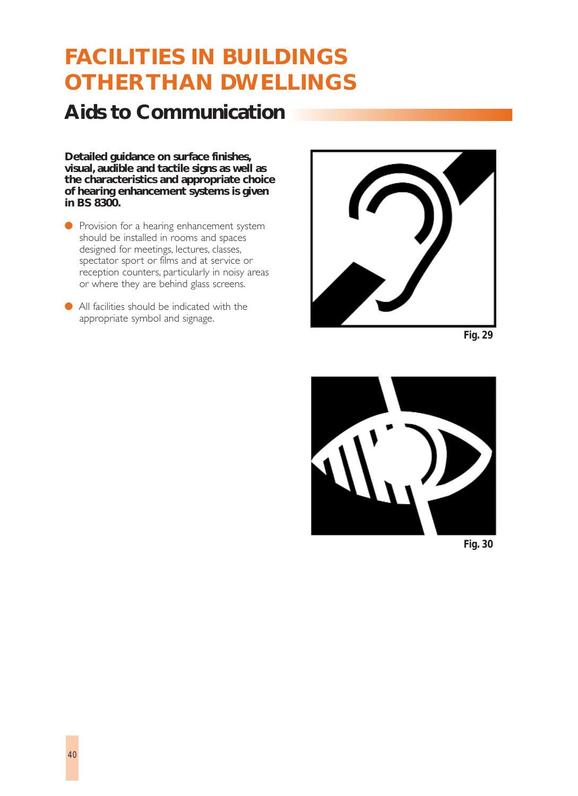## **Aids to Communication**

**Detailed guidance on surface finishes, visual, audible and tactile signs as well as the characteristics and appropriate choice of hearing enhancement systems is given in BS 8300.**

- Provision for a hearing enhancement system should be installed in rooms and spaces designed for meetings, lectures, classes, spectator sport or films and at service or reception counters, particularly in noisy areas or where they are behind glass screens.
- All facilities should be indicated with the appropriate symbol and signage.



*Fig. 29*



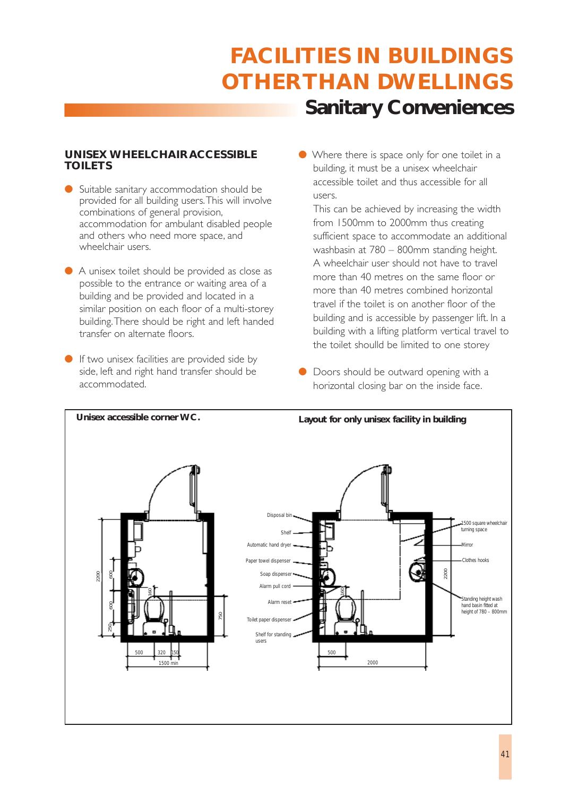# **Sanitary Conveniences FACILITIES IN BUILDINGS OTHER THAN DWELLINGS**

### **UNISEX WHEELCHAIR ACCESSIBLE TOILETS**

- Suitable sanitary accommodation should be provided for all building users.This will involve combinations of general provision, accommodation for ambulant disabled people and others who need more space, and wheelchair users.
- A unisex toilet should be provided as close as possible to the entrance or waiting area of a building and be provided and located in a similar position on each floor of a multi-storey building.There should be right and left handed transfer on alternate floors.
- If two unisex facilities are provided side by side, left and right hand transfer should be accommodated.

● Where there is space only for one toilet in a building, it must be a unisex wheelchair accessible toilet and thus accessible for all users.

This can be achieved by increasing the width from 1500mm to 2000mm thus creating sufficient space to accommodate an additional washbasin at 780 – 800mm standing height. A wheelchair user should not have to travel more than 40 metres on the same floor or more than 40 metres combined horizontal travel if the toilet is on another floor of the building and is accessible by passenger lift. In a building with a lifting platform vertical travel to the toilet shoulld be limited to one storey

● Doors should be outward opening with a horizontal closing bar on the inside face.

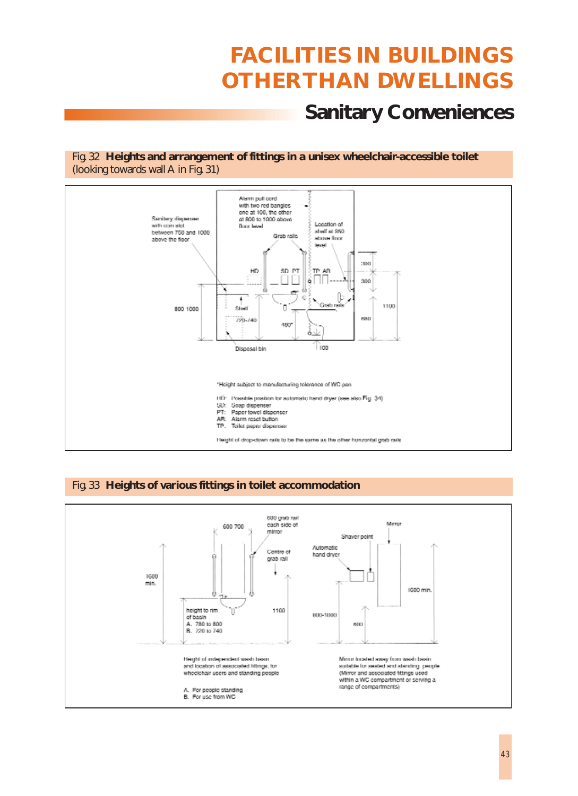### **Sanitary Conveniences**

Fig. 32 **Heights and arrangement of fittings in a unisex wheelchair-accessible toilet** (looking towards wall A in Fig. 31)



#### Fig. 33 **Heights of various fittings in toilet accommodation**

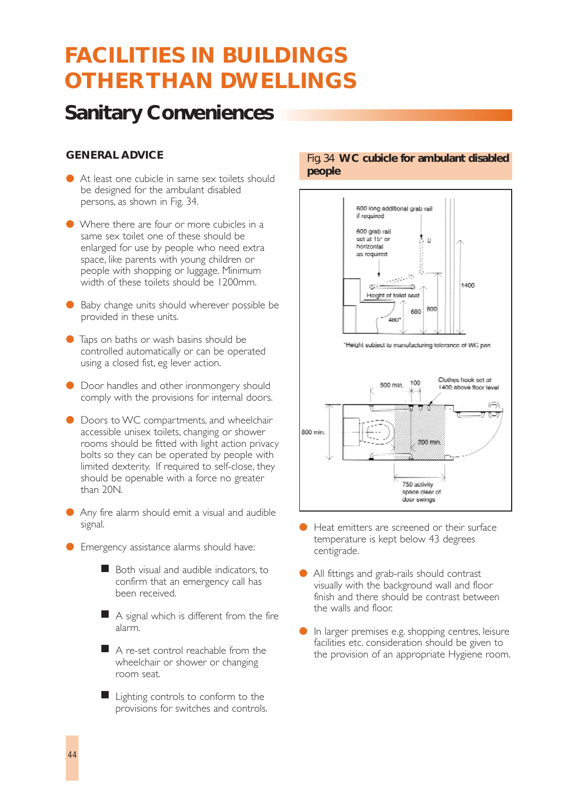### **Sanitary Conveniences**

### **GENERAL ADVICE**

- At least one cubicle in same sex toilets should be designed for the ambulant disabled persons, as shown in Fig. 34.
- Where there are four or more cubicles in a same sex toilet one of these should be enlarged for use by people who need extra space, like parents with young children or people with shopping or luggage. Minimum width of these toilets should be 1200mm.
- Baby change units should wherever possible be provided in these units.
- Taps on baths or wash basins should be controlled automatically or can be operated using a closed fist, eg lever action.
- Door handles and other ironmongery should comply with the provisions for internal doors.
- Doors to WC compartments, and wheelchair accessible unisex toilets, changing or shower rooms should be fitted with light action privacy bolts so they can be operated by people with limited dexterity. If required to self-close, they should be openable with a force no greater than 20N.
- Any fire alarm should emit a visual and audible signal.
- **•** Emergency assistance alarms should have:
	- Both visual and audible indicators, to confirm that an emergency call has been received.
	- A signal which is different from the fire alarm.
	- A re-set control reachable from the wheelchair or shower or changing room seat.
	- Lighting controls to conform to the provisions for switches and controls.

#### Fig. 34 **WC cubicle for ambulant disabled people**



- Heat emitters are screened or their surface temperature is kept below 43 degrees centigrade.
- All fittings and grab-rails should contrast visually with the background wall and floor finish and there should be contrast between the walls and floor.
- In larger premises e.g. shopping centres, leisure facilities etc. consideration should be given to the provision of an appropriate Hygiene room.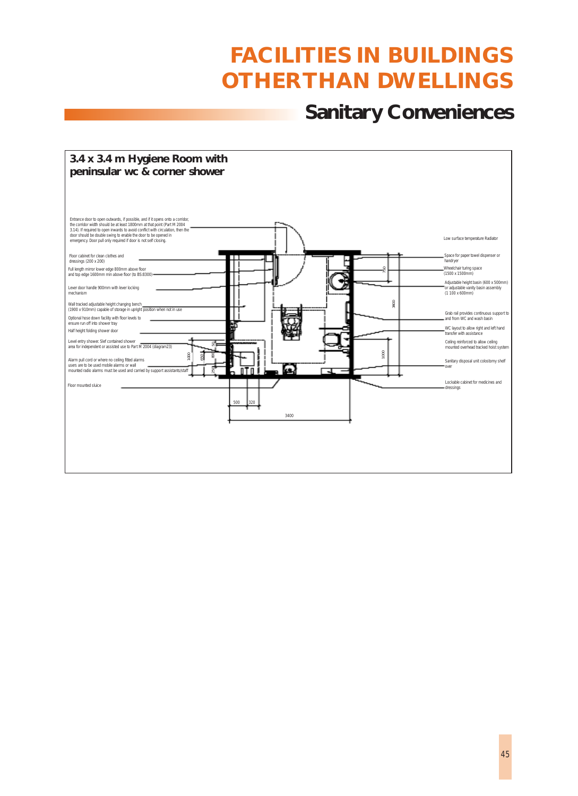### **Sanitary Conveniences**

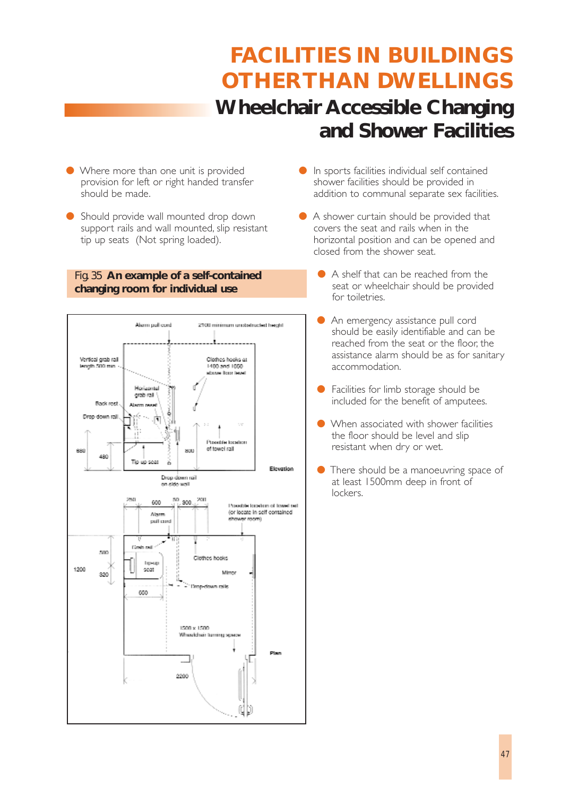# **Wheelchair Accessible Changing and Shower Facilities FACILITIES IN BUILDINGS OTHER THAN DWELLINGS**

- Where more than one unit is provided provision for left or right handed transfer should be made.
- Should provide wall mounted drop down support rails and wall mounted, slip resistant tip up seats (Not spring loaded).

### Fig. 35 **An example of a self-contained changing room for individual use**



- In sports facilities individual self contained shower facilities should be provided in addition to communal separate sex facilities.
- A shower curtain should be provided that covers the seat and rails when in the horizontal position and can be opened and closed from the shower seat.
	- A shelf that can be reached from the seat or wheelchair should be provided for toiletries.
	- An emergency assistance pull cord should be easily identifiable and can be reached from the seat or the floor, the assistance alarm should be as for sanitary accommodation.
	- Facilities for limb storage should be included for the benefit of amputees.
	- When associated with shower facilities the floor should be level and slip resistant when dry or wet.
	- There should be a manoeuvring space of at least 1500mm deep in front of lockers.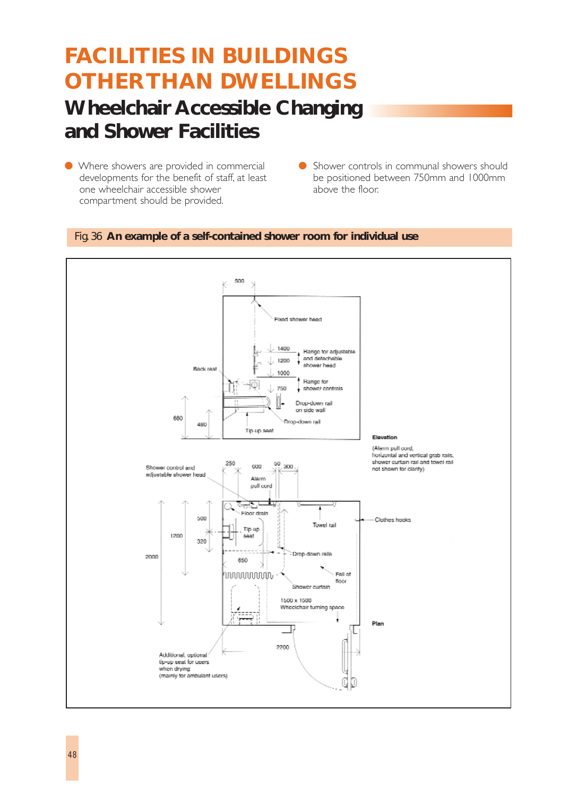## **Wheelchair Accessible Changing and Shower Facilities FACILITIES IN BUILDINGS OTHER THAN DWELLINGS**

- Where showers are provided in commercial developments for the benefit of staff, at least one wheelchair accessible shower compartment should be provided.
- Shower controls in communal showers should be positioned between 750mm and 1000mm above the floor.

#### Fig. 36 **An example of a self-contained shower room for individual use**

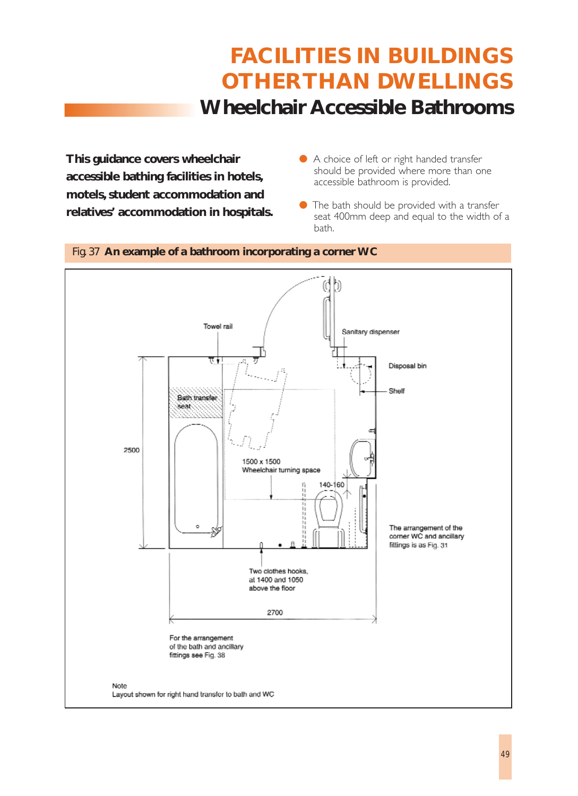## **Wheelchair Accessible Bathrooms FACILITIES IN BUILDINGS OTHER THAN DWELLINGS**

**This guidance covers wheelchair accessible bathing facilities in hotels, motels, student accommodation and relatives' accommodation in hospitals.**

- A choice of left or right handed transfer should be provided where more than one accessible bathroom is provided.
- The bath should be provided with a transfer seat 400mm deep and equal to the width of a bath.

### Fig. 37 **An example of a bathroom incorporating a corner WC**

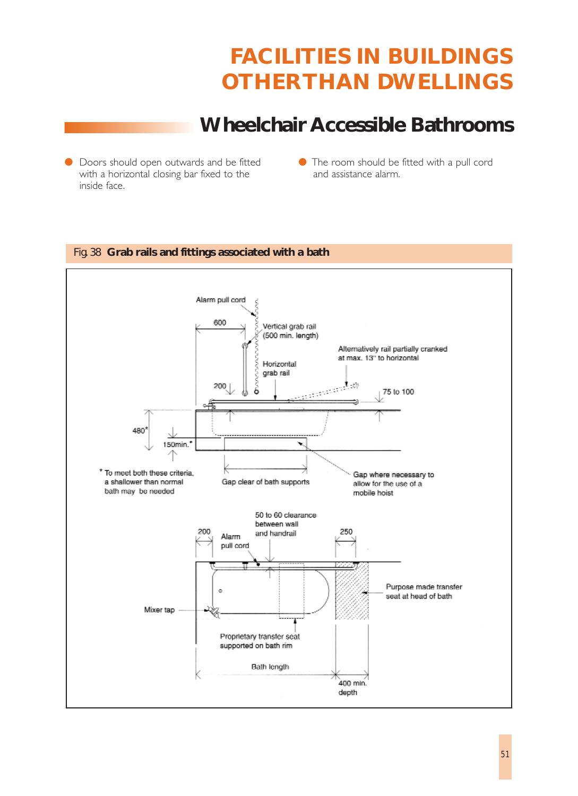### **Wheelchair Accessible Bathrooms**

- Doors should open outwards and be fitted with a horizontal closing bar fixed to the inside face.
- The room should be fitted with a pull cord and assistance alarm.

### Fig. 38 **Grab rails and fittings associated with a bath**

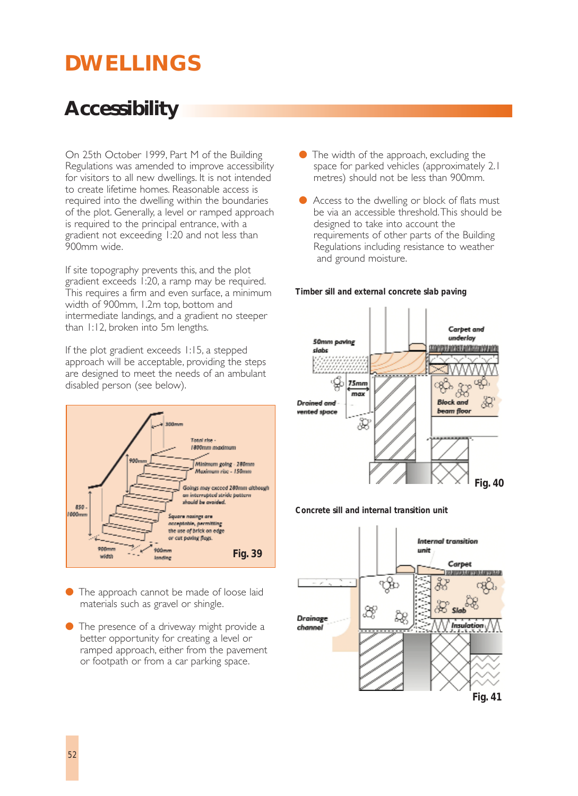# **DWELLINGS**

## **Accessibility**

On 25th October 1999, Part M of the Building Regulations was amended to improve accessibility for visitors to all new dwellings. It is not intended to create lifetime homes. Reasonable access is required into the dwelling within the boundaries of the plot. Generally, a level or ramped approach is required to the principal entrance, with a gradient not exceeding 1:20 and not less than 900mm wide.

If site topography prevents this, and the plot gradient exceeds 1:20, a ramp may be required. This requires a firm and even surface, a minimum width of 900mm, 1.2m top, bottom and intermediate landings, and a gradient no steeper than 1:12, broken into 5m lengths.

If the plot gradient exceeds 1:15, a stepped approach will be acceptable, providing the steps are designed to meet the needs of an ambulant disabled person (see below).



- The approach cannot be made of loose laid materials such as gravel or shingle.
- The presence of a driveway might provide a better opportunity for creating a level or ramped approach, either from the pavement or footpath or from a car parking space.
- $\bullet$  The width of the approach, excluding the space for parked vehicles (approximately 2.1 metres) should not be less than 900mm.
- Access to the dwelling or block of flats must be via an accessible threshold.This should be designed to take into account the requirements of other parts of the Building Regulations including resistance to weather and ground moisture.

#### *Timber sill and external concrete slab paving*



#### *Concrete sill and internal transition unit*

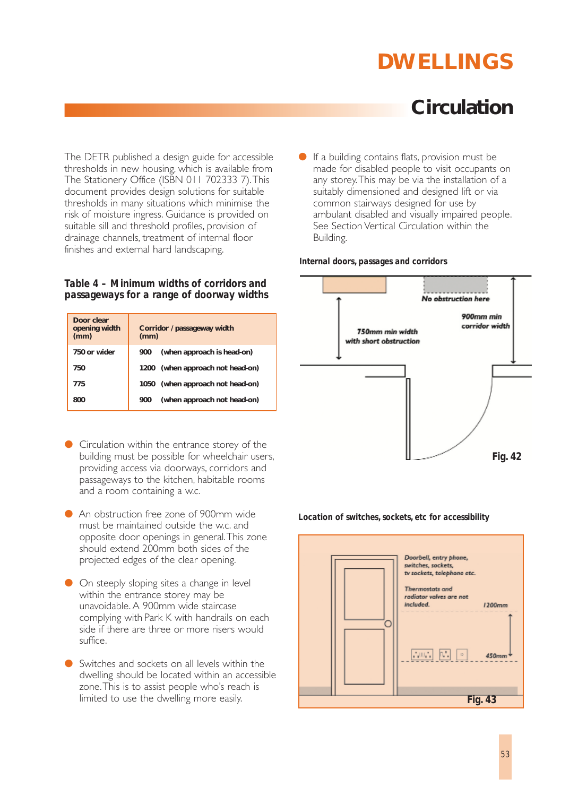# **DWELLINGS**

### **Circulation**

The DETR published a design guide for accessible thresholds in new housing, which is available from The Stationery Office (ISBN 011 702333 7).This document provides design solutions for suitable thresholds in many situations which minimise the risk of moisture ingress. Guidance is provided on suitable sill and threshold profiles, provision of drainage channels, treatment of internal floor finishes and external hard landscaping.

#### *Table 4 – Minimum widths of corridors and passageways for a range of doorway widths*

| Door clear<br>opening width<br>(mm) | Corridor / passageway width<br>(mm) |  |
|-------------------------------------|-------------------------------------|--|
| 750 or wider                        | (when approach is head-on)<br>900   |  |
| 750                                 | 1200 (when approach not head-on)    |  |
| 775                                 | (when approach not head-on)<br>1050 |  |
| 800                                 | (when approach not head-on)<br>900  |  |

- Circulation within the entrance storey of the building must be possible for wheelchair users, providing access via doorways, corridors and passageways to the kitchen, habitable rooms and a room containing a w.c.
- An obstruction free zone of 900mm wide must be maintained outside the w.c. and opposite door openings in general.This zone should extend 200mm both sides of the projected edges of the clear opening.
- On steeply sloping sites a change in level within the entrance storey may be unavoidable. A 900mm wide staircase complying with Park K with handrails on each side if there are three or more risers would suffice.
- Switches and sockets on all levels within the dwelling should be located within an accessible zone.This is to assist people who's reach is limited to use the dwelling more easily.

If a building contains flats, provision must be made for disabled people to visit occupants on any storey.This may be via the installation of a suitably dimensioned and designed lift or via common stairways designed for use by ambulant disabled and visually impaired people. See Section Vertical Circulation within the Building.

#### *Internal doors, passages and corridors*



#### *Location of switches, sockets, etc for accessibility*